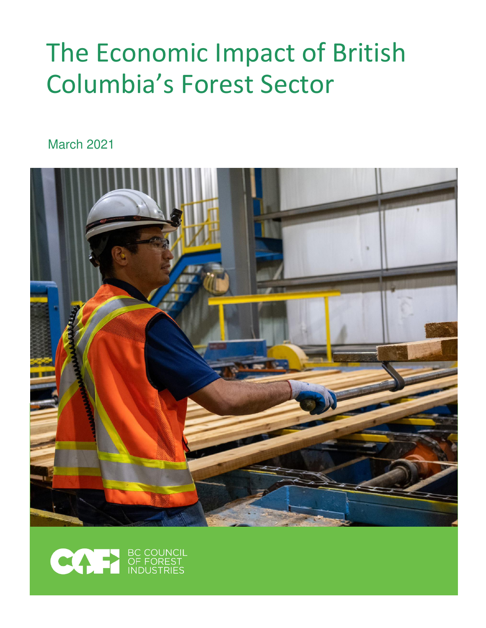# The Economic Impact of British Columbia's Forest Sector

March 2021



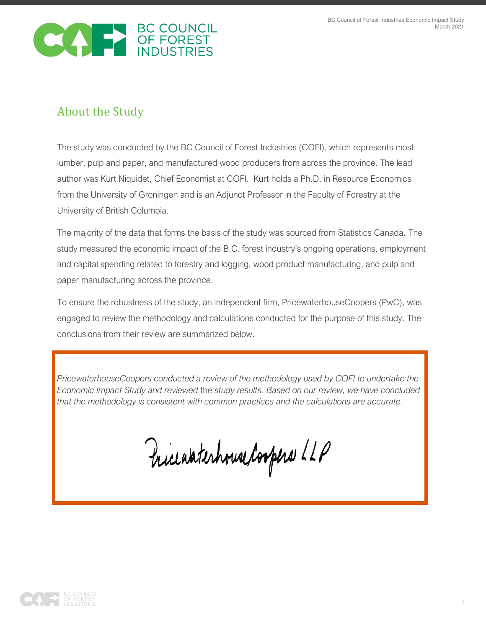

# About the Study

The study was conducted by the BC Council of Forest Industries (COFI), which represents most lumber, pulp and paper, and manufactured wood producers from across the province. The lead author was Kurt Niquidet, Chief Economist at COFI. Kurt holds a Ph.D. in Resource Economics from the University of Groningen and is an Adjunct Professor in the Faculty of Forestry at the University of British Columbia.

The majority of the data that forms the basis of the study was sourced from Statistics Canada. The study measured the economic impact of the B.C. forest industry's ongoing operations, employment and capital spending related to forestry and logging, wood product manufacturing, and pulp and paper manufacturing across the province.

To ensure the robustness of the study, an independent firm, PricewaterhouseCoopers (PwC), was engaged to review the methodology and calculations conducted for the purpose of this study. The conclusions from their review are summarized below.

*PricewaterhouseCoopers conducted a review of the methodology used by COFI to undertake the Economic Impact Study and reviewed* the *study results*. *Based on our review, we have concluded that the methodology is consistent with common practices and the calculations are accurate.* 

Pricewaterhouse Coopers LLP

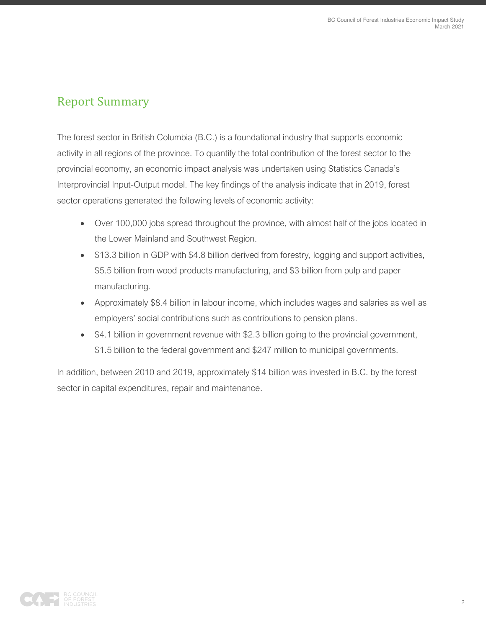## Report Summary

The forest sector in British Columbia (B.C.) is a foundational industry that supports economic activity in all regions of the province. To quantify the total contribution of the forest sector to the provincial economy, an economic impact analysis was undertaken using Statistics Canada's Interprovincial Input-Output model. The key findings of the analysis indicate that in 2019, forest sector operations generated the following levels of economic activity:

- Over 100,000 jobs spread throughout the province, with almost half of the jobs located in the Lower Mainland and Southwest Region.
- \$13.3 billion in GDP with \$4.8 billion derived from forestry, logging and support activities, \$5.5 billion from wood products manufacturing, and \$3 billion from pulp and paper manufacturing.
- Approximately \$8.4 billion in labour income, which includes wages and salaries as well as employers' social contributions such as contributions to pension plans.
- \$4.1 billion in government revenue with \$2.3 billion going to the provincial government, \$1.5 billion to the federal government and \$247 million to municipal governments.

In addition, between 2010 and 2019, approximately \$14 billion was invested in B.C. by the forest sector in capital expenditures, repair and maintenance.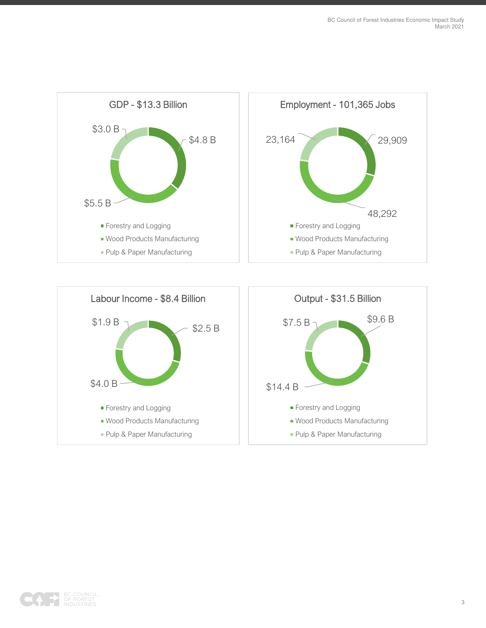

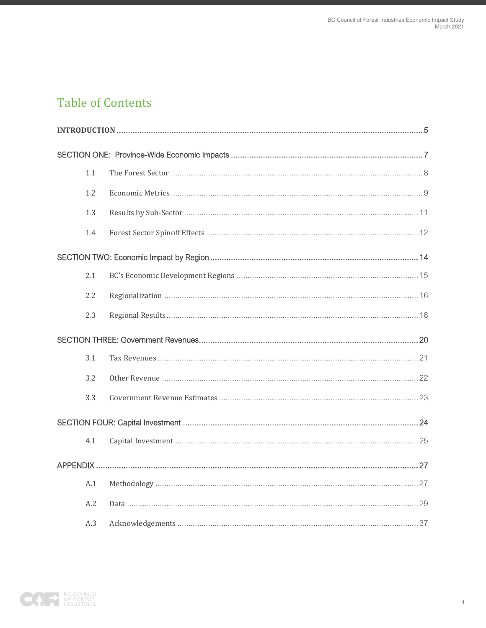# **Table of Contents**

| 1.1 |  |
|-----|--|
| 1.2 |  |
| 1.3 |  |
| 1.4 |  |
|     |  |
| 2.1 |  |
| 2.2 |  |
| 2.3 |  |
|     |  |
| 3.1 |  |
| 3.2 |  |
| 3.3 |  |
|     |  |
| 4.1 |  |
|     |  |
| A.1 |  |
| A.2 |  |
| A.3 |  |

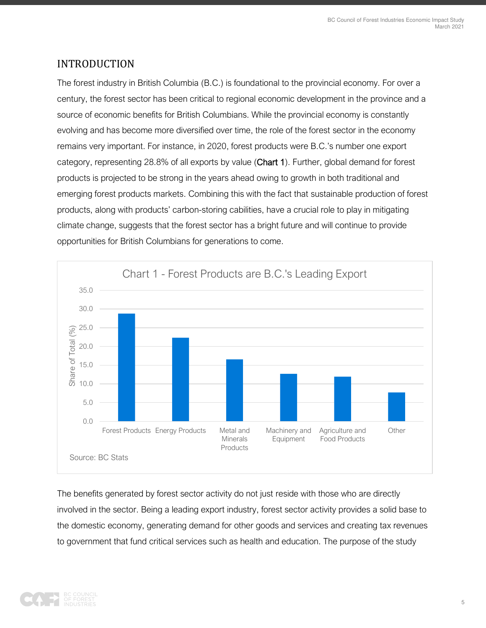### <span id="page-5-0"></span>INTRODUCTION

The forest industry in British Columbia (B.C.) is foundational to the provincial economy. For over a century, the forest sector has been critical to regional economic development in the province and a source of economic benefits for British Columbians. While the provincial economy is constantly evolving and has become more diversified over time, the role of the forest sector in the economy remains very important. For instance, in 2020, forest products were B.C.'s number one export category, representing 28.8% of all exports by value (Chart 1). Further, global demand for forest products is projected to be strong in the years ahead owing to growth in both traditional and emerging forest products markets. Combining this with the fact that sustainable production of forest products, along with products' carbon-storing cabilities, have a crucial role to play in mitigating climate change, suggests that the forest sector has a bright future and will continue to provide opportunities for British Columbians for generations to come.



The benefits generated by forest sector activity do not just reside with those who are directly involved in the sector. Being a leading export industry, forest sector activity provides a solid base to the domestic economy, generating demand for other goods and services and creating tax revenues to government that fund critical services such as health and education. The purpose of the study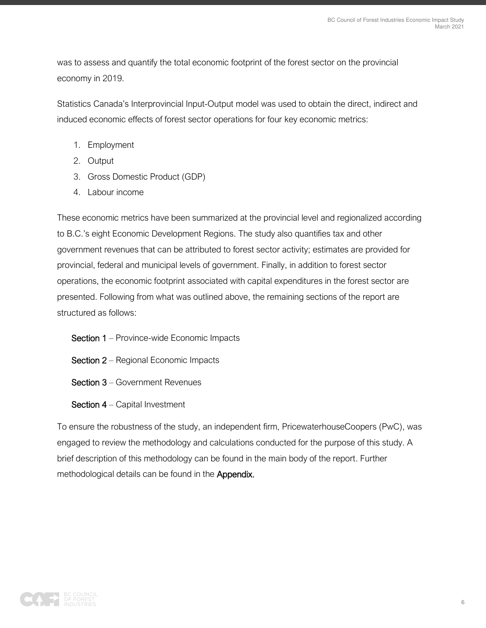was to assess and quantify the total economic footprint of the forest sector on the provincial economy in 2019.

Statistics Canada's Interprovincial Input-Output model was used to obtain the direct, indirect and induced economic effects of forest sector operations for four key economic metrics:

- 1. Employment
- 2. Output
- 3. Gross Domestic Product (GDP)
- 4. Labour income

These economic metrics have been summarized at the provincial level and regionalized according to B.C.'s eight Economic Development Regions. The study also quantifies tax and other government revenues that can be attributed to forest sector activity; estimates are provided for provincial, federal and municipal levels of government. Finally, in addition to forest sector operations, the economic footprint associated with capital expenditures in the forest sector are presented. Following from what was outlined above, the remaining sections of the report are structured as follows:

- Section 1 Province-wide Economic Impacts
- Section 2 Regional Economic Impacts
- Section 3 Government Revenues
- Section 4 Capital Investment

To ensure the robustness of the study, an independent firm, PricewaterhouseCoopers (PwC), was engaged to review the methodology and calculations conducted for the purpose of this study. A brief description of this methodology can be found in the main body of the report. Further methodological details can be found in the **Appendix.** 

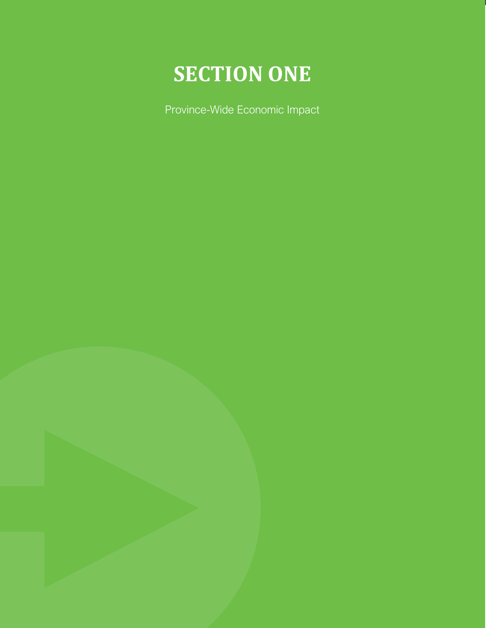

<span id="page-7-0"></span>Province-Wide Economic Impact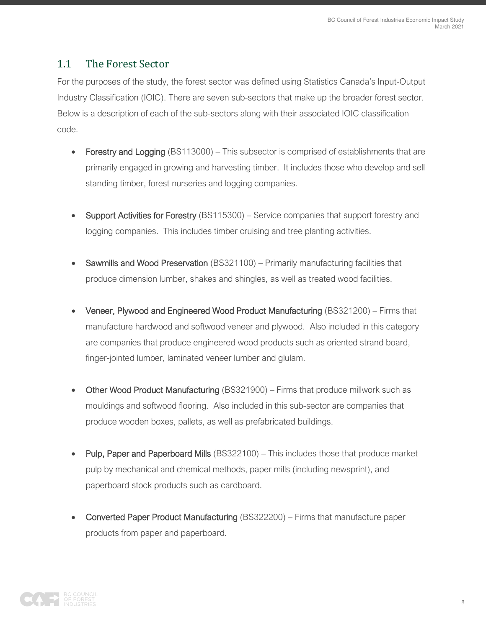#### <span id="page-8-0"></span>1.1 The Forest Sector

For the purposes of the study, the forest sector was defined using Statistics Canada's Input-Output Industry Classification (IOIC). There are seven sub-sectors that make up the broader forest sector. Below is a description of each of the sub-sectors along with their associated IOIC classification code.

- Forestry and Logging (BS113000) This subsector is comprised of establishments that are primarily engaged in growing and harvesting timber. It includes those who develop and sell standing timber, forest nurseries and logging companies.
- **Support Activities for Forestry** (BS115300) Service companies that support forestry and logging companies. This includes timber cruising and tree planting activities.
- Sawmills and Wood Preservation (BS321100) Primarily manufacturing facilities that produce dimension lumber, shakes and shingles, as well as treated wood facilities.
- Veneer, Plywood and Engineered Wood Product Manufacturing (BS321200) Firms that manufacture hardwood and softwood veneer and plywood. Also included in this category are companies that produce engineered wood products such as oriented strand board, finger-jointed lumber, laminated veneer lumber and glulam.
- Other Wood Product Manufacturing (BS321900) Firms that produce millwork such as mouldings and softwood flooring. Also included in this sub-sector are companies that produce wooden boxes, pallets, as well as prefabricated buildings.
- Pulp, Paper and Paperboard Mills (BS322100) This includes those that produce market pulp by mechanical and chemical methods, paper mills (including newsprint), and paperboard stock products such as cardboard.
- Converted Paper Product Manufacturing (BS322200) Firms that manufacture paper products from paper and paperboard.

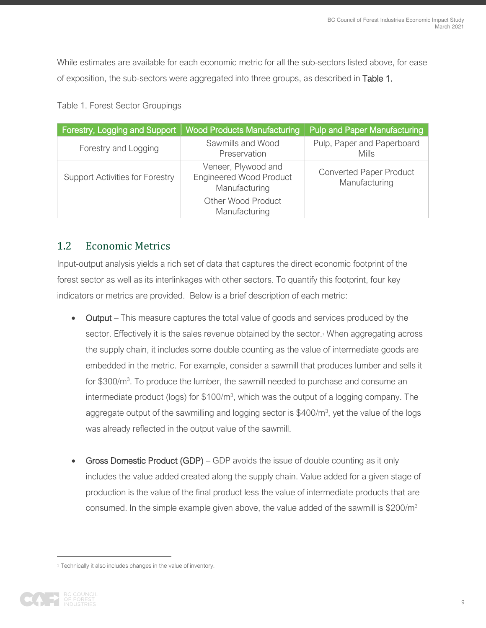While estimates are available for each economic metric for all the sub-sectors listed above, for ease of exposition, the sub-sectors were aggregated into three groups, as described in Table 1.

| Table 1. Forest Sector Groupings |  |
|----------------------------------|--|
|----------------------------------|--|

| Forestry, Logging and Support          | <b>Wood Products Manufacturing</b>                                     | <b>Pulp and Paper Manufacturing</b>             |
|----------------------------------------|------------------------------------------------------------------------|-------------------------------------------------|
| Forestry and Logging                   | Sawmills and Wood<br>Preservation                                      | Pulp, Paper and Paperboard<br><b>Mills</b>      |
| <b>Support Activities for Forestry</b> | Veneer, Plywood and<br><b>Engineered Wood Product</b><br>Manufacturing | <b>Converted Paper Product</b><br>Manufacturing |
|                                        | <b>Other Wood Product</b><br>Manufacturing                             |                                                 |

#### <span id="page-9-0"></span>1.2 Economic Metrics

Input-output analysis yields a rich set of data that captures the direct economic footprint of the forest sector as well as its interlinkages with other sectors. To quantify this footprint, four key indicators or metrics are provided. Below is a brief description of each metric:

- Output This measure captures the total value of goods and services produced by the sector. Effectively it is the sales revenue obtained by the sector.<sup>1</sup> When aggregating across the supply chain, it includes some double counting as the value of intermediate goods are embedded in the metric. For example, consider a sawmill that produces lumber and sells it for \$300/m<sup>3</sup>. To produce the lumber, the sawmill needed to purchase and consume an intermediate product (logs) for  $$100/m^3$ , which was the output of a logging company. The aggregate output of the sawmilling and logging sector is \$400/m<sup>3</sup>, yet the value of the logs was already reflected in the output value of the sawmill.
- Gross Domestic Product (GDP) GDP avoids the issue of double counting as it only includes the value added created along the supply chain. Value added for a given stage of production is the value of the final product less the value of intermediate products that are consumed. In the simple example given above, the value added of the sawmill is \$200/m<sup>3</sup>

<sup>&</sup>lt;sup>1</sup> Technically it also includes changes in the value of inventory.

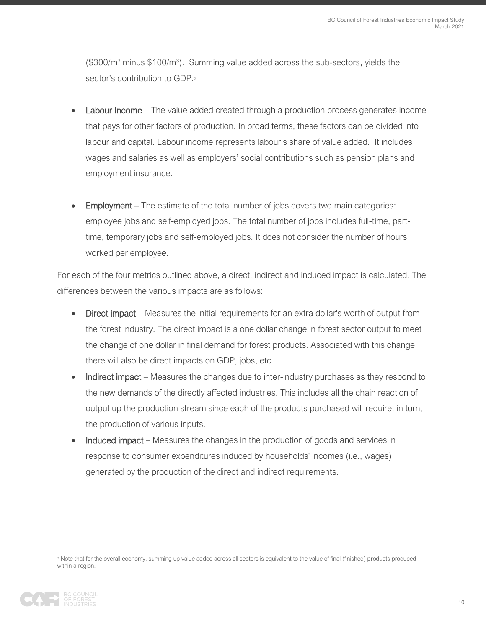$($300/m<sup>3</sup>$  minus \$100/m<sup>3</sup>). Summing value added across the sub-sectors, yields the sector's contribution to GDP.<sup>2</sup>

- **Labour Income** The value added created through a production process generates income that pays for other factors of production. In broad terms, these factors can be divided into labour and capital. Labour income represents labour's share of value added. It includes wages and salaries as well as employers' social contributions such as pension plans and employment insurance.
- **Employment** The estimate of the total number of jobs covers two main categories: employee jobs and self-employed jobs. The total number of jobs includes full-time, parttime, temporary jobs and self-employed jobs. It does not consider the number of hours worked per employee.

For each of the four metrics outlined above, a direct, indirect and induced impact is calculated. The differences between the various impacts are as follows:

- Direct impact Measures the initial requirements for an extra dollar's worth of output from the forest industry. The direct impact is a one dollar change in forest sector output to meet the change of one dollar in final demand for forest products. Associated with this change, there will also be direct impacts on GDP, jobs, etc.
- Indirect impact Measures the changes due to inter-industry purchases as they respond to the new demands of the directly affected industries. This includes all the chain reaction of output up the production stream since each of the products purchased will require, in turn, the production of various inputs.
- Induced impact Measures the changes in the production of goods and services in response to consumer expenditures induced by households' incomes (i.e., wages) generated by the production of the direct and indirect requirements.

<sup>&</sup>lt;sup>2</sup> Note that for the overall economy, summing up value added across all sectors is equivalent to the value of final (finished) products produced within a region.

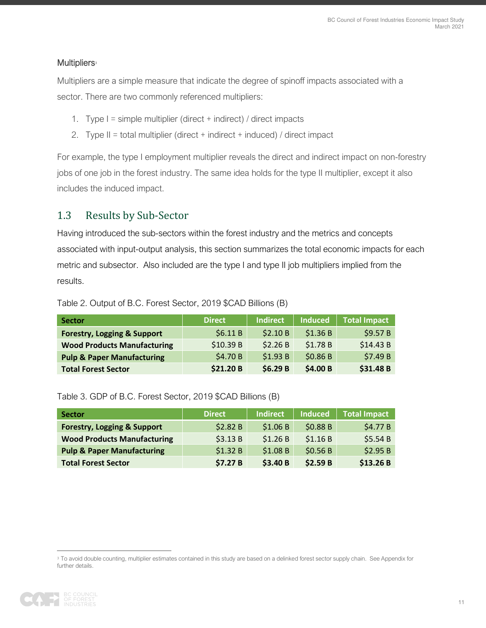#### Multipliers**<sup>3</sup>**

Multipliers are a simple measure that indicate the degree of spinoff impacts associated with a sector. There are two commonly referenced multipliers:

- 1. Type I = simple multiplier (direct + indirect) / direct impacts
- 2. Type II = total multiplier (direct + indirect + induced) / direct impact

For example, the type I employment multiplier reveals the direct and indirect impact on non-forestry jobs of one job in the forest industry. The same idea holds for the type II multiplier, except it also includes the induced impact.

#### <span id="page-11-0"></span>1.3 Results by Sub-Sector

Having introduced the sub-sectors within the forest industry and the metrics and concepts associated with input-output analysis, this section summarizes the total economic impacts for each metric and subsector. Also included are the type I and type II job multipliers implied from the results.

| <b>Sector</b>                          | <b>Direct</b> | <b>Indirect</b> | <b>Induced</b> | <b>Total Impact</b> |
|----------------------------------------|---------------|-----------------|----------------|---------------------|
| <b>Forestry, Logging &amp; Support</b> | \$6.11B       | \$2.10 B        | \$1.36B        | \$9.57B             |
| <b>Wood Products Manufacturing</b>     | \$10.39 B     | \$2.26B         | \$1.78B        | \$14.43 B           |
| <b>Pulp &amp; Paper Manufacturing</b>  | \$4.70 B      | \$1.93B         | \$0.86 B       | \$7.49 B            |
| <b>Total Forest Sector</b>             | \$21.20 B     | \$6.29B         | \$4.00 B       | \$31.48 B           |

#### Table 2. Output of B.C. Forest Sector, 2019 \$CAD Billions (B)

#### Table 3. GDP of B.C. Forest Sector, 2019 \$CAD Billions (B)

| <b>Sector</b>                          | <b>Direct</b> | <b>Indirect</b> | <b>Induced</b> | <b>Total Impact</b> |
|----------------------------------------|---------------|-----------------|----------------|---------------------|
| <b>Forestry, Logging &amp; Support</b> | \$2.82B       | \$1.06 B        | \$0.88 B       | \$4.77B             |
| <b>Wood Products Manufacturing</b>     | \$3.13B       | \$1.26B         | \$1.16B        | \$5.54B             |
| <b>Pulp &amp; Paper Manufacturing</b>  | \$1.32B       | \$1.08B         | \$0.56B        | \$2.95B             |
| <b>Total Forest Sector</b>             | \$7.27B       | \$3.40 B        | \$2.59B        | \$13.26B            |

<sup>&</sup>lt;sup>3</sup> To avoid double counting, multiplier estimates contained in this study are based on a delinked forest sector supply chain. See Appendix for further details.

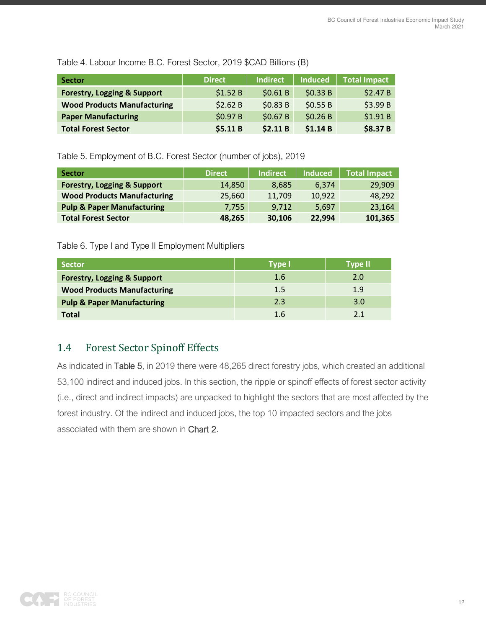Table 4. Labour Income B.C. Forest Sector, 2019 \$CAD Billions (B)

| <b>Sector</b>                          | <b>Direct</b> | <b>Indirect</b> | <b>Induced</b> | <b>Total Impact</b> |
|----------------------------------------|---------------|-----------------|----------------|---------------------|
| <b>Forestry, Logging &amp; Support</b> | \$1.52B       | \$0.61B         | \$0.33B        | \$2.47B             |
| <b>Wood Products Manufacturing</b>     | \$2.62 B      | \$0.83B         | \$0.55B        | \$3.99 B            |
| <b>Paper Manufacturing</b>             | \$0.97 B      | \$0.67 B        | \$0.26 B       | \$1.91B             |
| <b>Total Forest Sector</b>             | \$5.11B       | \$2.11B         | \$1.14B        | \$8.37 B            |

Table 5. Employment of B.C. Forest Sector (number of jobs), 2019

| <b>Sector</b>                          | <b>Direct</b> | Indirect | <b>Induced</b> | <b>Total Impact</b> |
|----------------------------------------|---------------|----------|----------------|---------------------|
| <b>Forestry, Logging &amp; Support</b> | 14,850        | 8.685    | 6.374          | 29,909              |
| <b>Wood Products Manufacturing</b>     | 25,660        | 11,709   | 10,922         | 48,292              |
| <b>Pulp &amp; Paper Manufacturing</b>  | 7.755         | 9.712    | 5.697          | 23,164              |
| <b>Total Forest Sector</b>             | 48,265        | 30,106   | 22,994         | 101,365             |

Table 6. Type I and Type II Employment Multipliers

| <b>Sector</b>                          | <b>Type I</b> | Type II |
|----------------------------------------|---------------|---------|
| <b>Forestry, Logging &amp; Support</b> | 1.6           | 2.0     |
| <b>Wood Products Manufacturing</b>     | 1.5           | 1.9     |
| <b>Pulp &amp; Paper Manufacturing</b>  | 2.3           | 3.0     |
| <b>Total</b>                           | 1.6           |         |

### <span id="page-12-0"></span>1.4 Forest Sector Spinoff Effects

As indicated in Table 5, in 2019 there were 48,265 direct forestry jobs, which created an additional 53,100 indirect and induced jobs. In this section, the ripple or spinoff effects of forest sector activity (i.e., direct and indirect impacts) are unpacked to highlight the sectors that are most affected by the forest industry. Of the indirect and induced jobs, the top 10 impacted sectors and the jobs associated with them are shown in Chart 2.

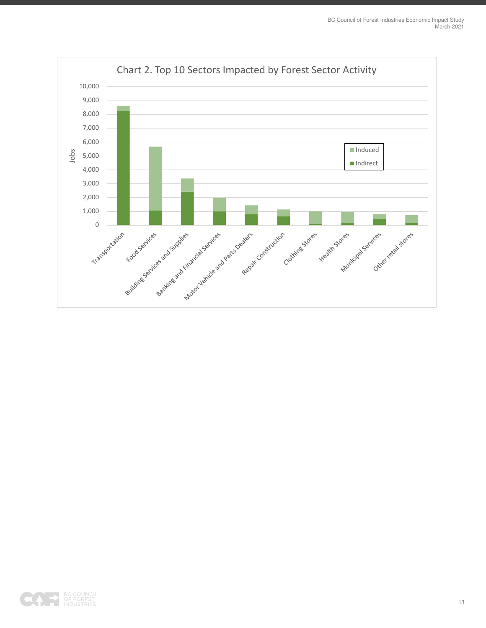

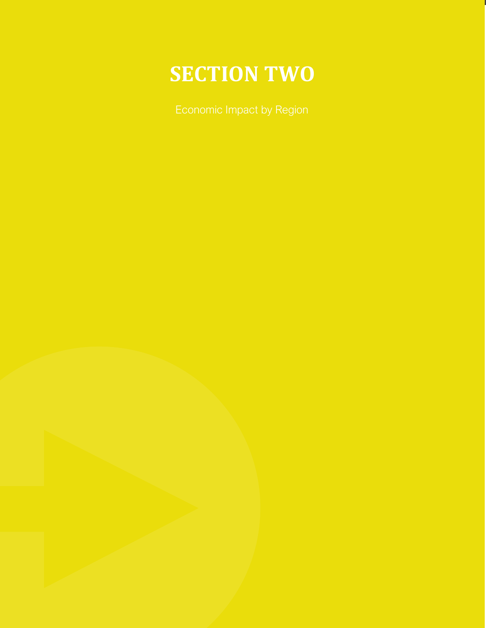# **SECTION TWO**

<span id="page-14-0"></span>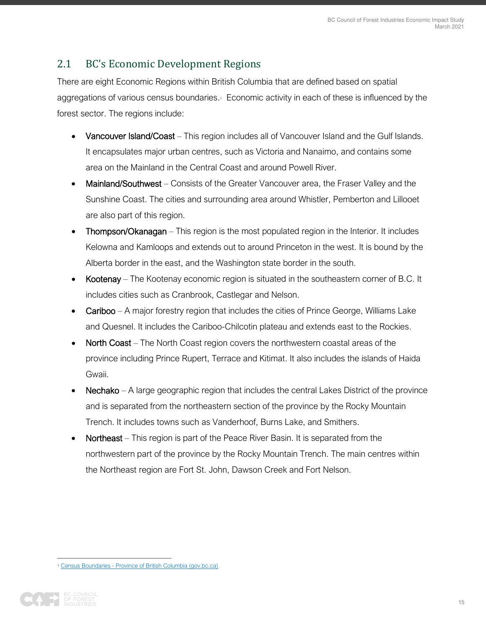### <span id="page-15-0"></span>2.1 BC's Economic Development Regions

There are eight Economic Regions within British Columbia that are defined based on spatial aggregations of various census boundaries. Economic activity in each of these is influenced by the forest sector. The regions include:

- Vancouver Island/Coast This region includes all of Vancouver Island and the Gulf Islands. It encapsulates major urban centres, such as Victoria and Nanaimo, and contains some area on the Mainland in the Central Coast and around Powell River.
- Mainland/Southwest Consists of the Greater Vancouver area, the Fraser Valley and the Sunshine Coast. The cities and surrounding area around Whistler, Pemberton and Lillooet are also part of this region.
- Thompson/Okanagan This region is the most populated region in the Interior. It includes Kelowna and Kamloops and extends out to around Princeton in the west. It is bound by the Alberta border in the east, and the Washington state border in the south.
- Kootenay The Kootenay economic region is situated in the southeastern corner of B.C. It includes cities such as Cranbrook, Castlegar and Nelson.
- Cariboo A major forestry region that includes the cities of Prince George, Williams Lake and Quesnel. It includes the Cariboo-Chilcotin plateau and extends east to the Rockies.
- North Coast The North Coast region covers the northwestern coastal areas of the province including Prince Rupert, Terrace and Kitimat. It also includes the islands of Haida Gwaii.
- Nechako A large geographic region that includes the central Lakes District of the province and is separated from the northeastern section of the province by the Rocky Mountain Trench. It includes towns such as Vanderhoof, Burns Lake, and Smithers.
- Northeast This region is part of the Peace River Basin. It is separated from the northwestern part of the province by the Rocky Mountain Trench. The main centres within the Northeast region are Fort St. John, Dawson Creek and Fort Nelson.

<sup>4</sup> [Census Boundaries - Province of British Columbia \(gov.bc.ca\)](https://www2.gov.bc.ca/gov/content/data/geographic-data-services/land-use/administrative-boundaries/census-boundaries)

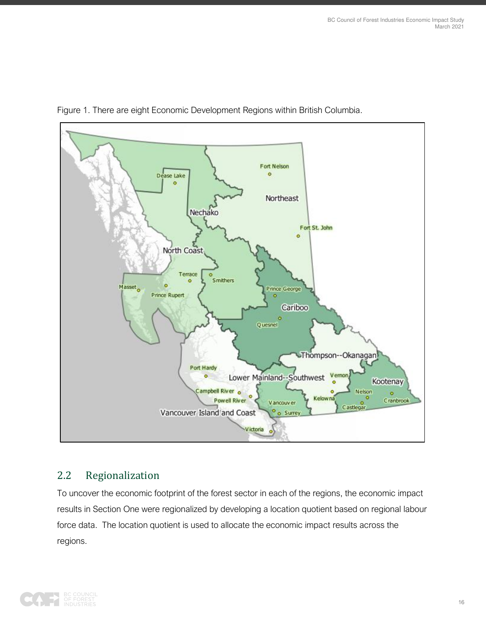

Figure 1. There are eight Economic Development Regions within British Columbia.

#### <span id="page-16-0"></span>2.2 Regionalization

To uncover the economic footprint of the forest sector in each of the regions, the economic impact results in Section One were regionalized by developing a location quotient based on regional labour force data. The location quotient is used to allocate the economic impact results across the regions.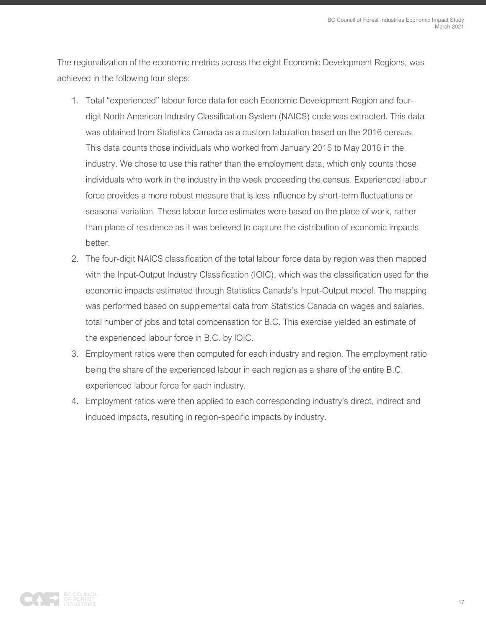The regionalization of the economic metrics across the eight Economic Development Regions, was achieved in the following four steps:

- 1. Total "experienced" labour force data for each Economic Development Region and fourdigit North American Industry Classification System (NAICS) code was extracted. This data was obtained from Statistics Canada as a custom tabulation based on the 2016 census. This data counts those individuals who worked from January 2015 to May 2016 in the industry. We chose to use this rather than the employment data, which only counts those individuals who work in the industry in the week proceeding the census. Experienced labour force provides a more robust measure that is less influence by short-term fluctuations or seasonal variation. These labour force estimates were based on the place of work, rather than place of residence as it was believed to capture the distribution of economic impacts better.
- 2. The four-digit NAICS classification of the total labour force data by region was then mapped with the Input-Output Industry Classification (IOIC), which was the classification used for the economic impacts estimated through Statistics Canada's Input-Output model. The mapping was performed based on supplemental data from Statistics Canada on wages and salaries, total number of jobs and total compensation for B.C. This exercise yielded an estimate of the experienced labour force in B.C. by IOIC.
- 3. Employment ratios were then computed for each industry and region. The employment ratio being the share of the experienced labour in each region as a share of the entire B.C. experienced labour force for each industry.
- 4. Employment ratios were then applied to each corresponding industry's direct, indirect and induced impacts, resulting in region-specific impacts by industry.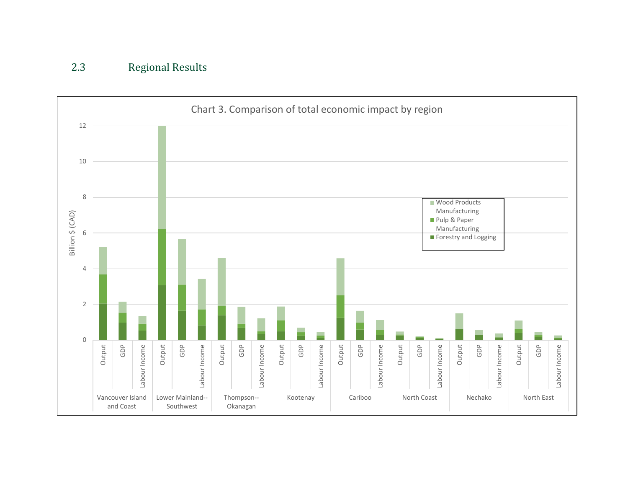<span id="page-18-0"></span>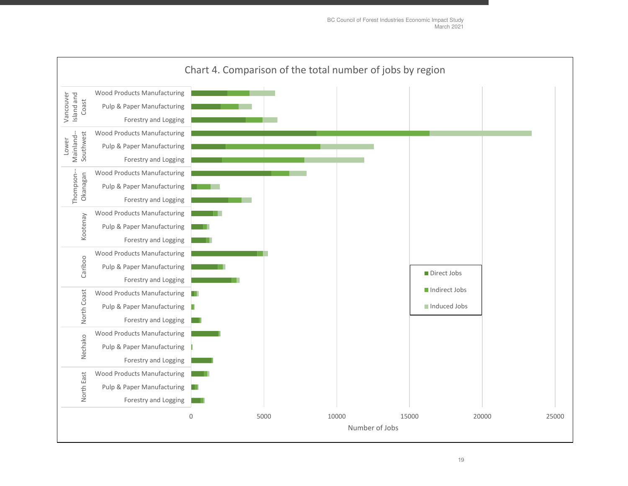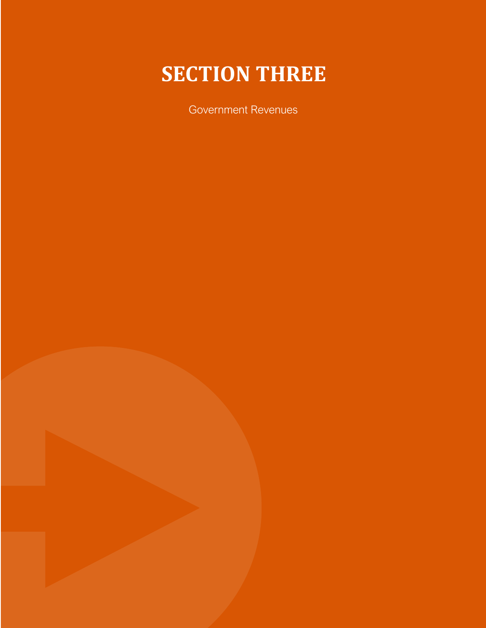# **SECTION THREE**

<span id="page-20-0"></span>Government Revenues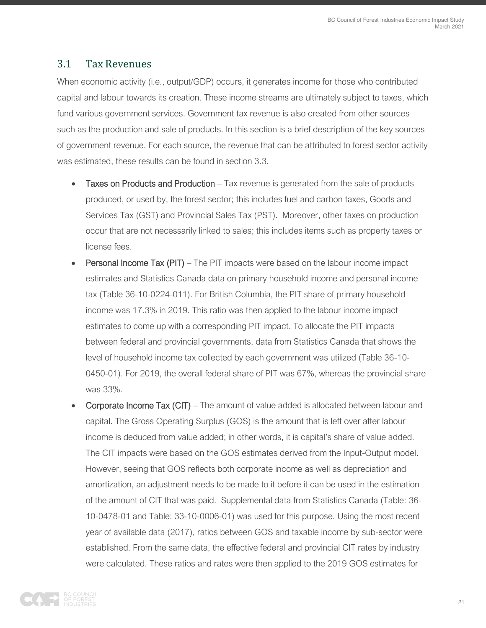#### <span id="page-21-0"></span>3.1 Tax Revenues

When economic activity (i.e., output/GDP) occurs, it generates income for those who contributed capital and labour towards its creation. These income streams are ultimately subject to taxes, which fund various government services. Government tax revenue is also created from other sources such as the production and sale of products. In this section is a brief description of the key sources of government revenue. For each source, the revenue that can be attributed to forest sector activity was estimated, these results can be found in section 3.3.

- Taxes on Products and Production Tax revenue is generated from the sale of products produced, or used by, the forest sector; this includes fuel and carbon taxes, Goods and Services Tax (GST) and Provincial Sales Tax (PST). Moreover, other taxes on production occur that are not necessarily linked to sales; this includes items such as property taxes or license fees.
- Personal Income Tax (PIT) The PIT impacts were based on the labour income impact estimates and Statistics Canada data on primary household income and personal income tax (Table 36-10-0224-011). For British Columbia, the PIT share of primary household income was 17.3% in 2019. This ratio was then applied to the labour income impact estimates to come up with a corresponding PIT impact. To allocate the PIT impacts between federal and provincial governments, data from Statistics Canada that shows the level of household income tax collected by each government was utilized (Table 36-10- 0450-01). For 2019, the overall federal share of PIT was 67%, whereas the provincial share was 33%.
- Corporate Income Tax (CIT) The amount of value added is allocated between labour and capital. The Gross Operating Surplus (GOS) is the amount that is left over after labour income is deduced from value added; in other words, it is capital's share of value added. The CIT impacts were based on the GOS estimates derived from the Input-Output model. However, seeing that GOS reflects both corporate income as well as depreciation and amortization, an adjustment needs to be made to it before it can be used in the estimation of the amount of CIT that was paid. Supplemental data from Statistics Canada (Table: 36- 10-0478-01 and Table: 33-10-0006-01) was used for this purpose. Using the most recent year of available data (2017), ratios between GOS and taxable income by sub-sector were established. From the same data, the effective federal and provincial CIT rates by industry were calculated. These ratios and rates were then applied to the 2019 GOS estimates for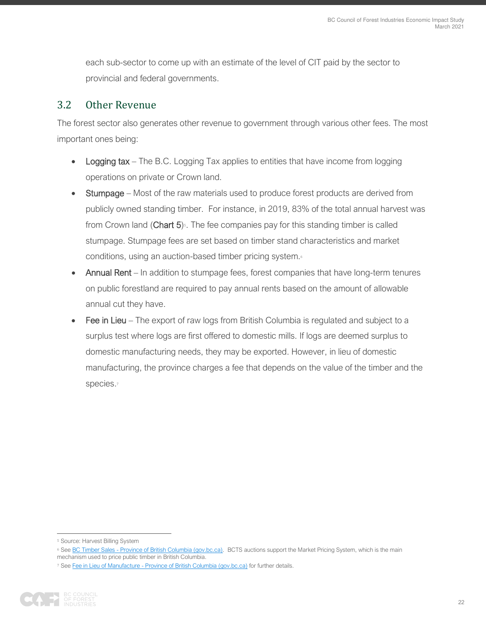each sub-sector to come up with an estimate of the level of CIT paid by the sector to provincial and federal governments.

#### <span id="page-22-0"></span>3.2 Other Revenue

The forest sector also generates other revenue to government through various other fees. The most important ones being:

- Logging tax The B.C. Logging Tax applies to entities that have income from logging operations on private or Crown land.
- **Stumpage** Most of the raw materials used to produce forest products are derived from publicly owned standing timber. For instance, in 2019, 83% of the total annual harvest was from Crown land (Chart  $5$ )<sup> $s$ </sup>. The fee companies pay for this standing timber is called stumpage. Stumpage fees are set based on timber stand characteristics and market conditions, using an auction-based timber pricing system.<sup>6</sup>
- Annual Rent In addition to stumpage fees, forest companies that have long-term tenures on public forestland are required to pay annual rents based on the amount of allowable annual cut they have.
- Fee in Lieu The export of raw logs from British Columbia is regulated and subject to a surplus test where logs are first offered to domestic mills. If logs are deemed surplus to domestic manufacturing needs, they may be exported. However, in lieu of domestic manufacturing, the province charges a fee that depends on the value of the timber and the species.<sub>7</sub>

<sup>7</sup> Se[e Fee in Lieu of Manufacture - Province of British Columbia \(gov.bc.ca\)](https://www2.gov.bc.ca/gov/content/industry/forestry/competitive-forest-industry/log-exports/step-2-bc-permit-and-export-fees/export-fees) for further details.



<sup>5</sup> Source: Harvest Billing System

<sup>&</sup>lt;sup>6</sup> Se[e BC Timber Sales - Province of British Columbia \(gov.bc.ca\).](https://www2.gov.bc.ca/gov/content/industry/forestry/bc-timber-sales) BCTS auctions support the Market Pricing System, which is the main mechanism used to price public timber in British Columbia.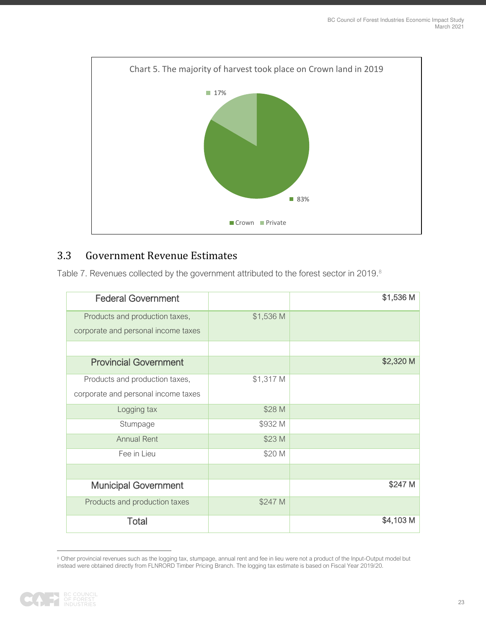

#### <span id="page-23-0"></span>3.3 Government Revenue Estimates

Table 7. Revenues collected by the government attributed to the forest sector in 2019.<sup>8</sup>

| <b>Federal Government</b>           |           | \$1,536 M |
|-------------------------------------|-----------|-----------|
| Products and production taxes,      | \$1,536 M |           |
| corporate and personal income taxes |           |           |
|                                     |           |           |
| <b>Provincial Government</b>        |           | \$2,320 M |
| Products and production taxes,      | \$1,317 M |           |
| corporate and personal income taxes |           |           |
| Logging tax                         | \$28 M    |           |
| Stumpage                            | \$932 M   |           |
| <b>Annual Rent</b>                  | \$23 M    |           |
| Fee in Lieu                         | \$20 M    |           |
|                                     |           |           |
| <b>Municipal Government</b>         |           | \$247 M   |
| Products and production taxes       | \$247 M   |           |
| Total                               |           | \$4,103 M |

<sup>&</sup>lt;sup>8</sup> Other provincial revenues such as the logging tax, stumpage, annual rent and fee in lieu were not a product of the Input-Output model but instead were obtained directly from FLNRORD Timber Pricing Branch. The logging tax estimate is based on Fiscal Year 2019/20.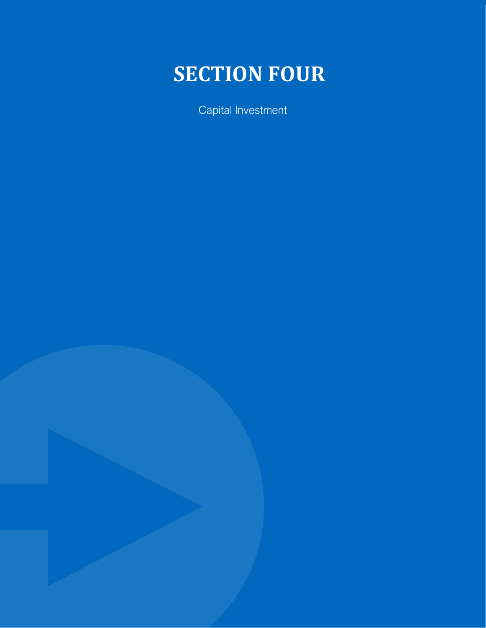# <span id="page-24-0"></span>**SECTION FOUR**

Capital Investment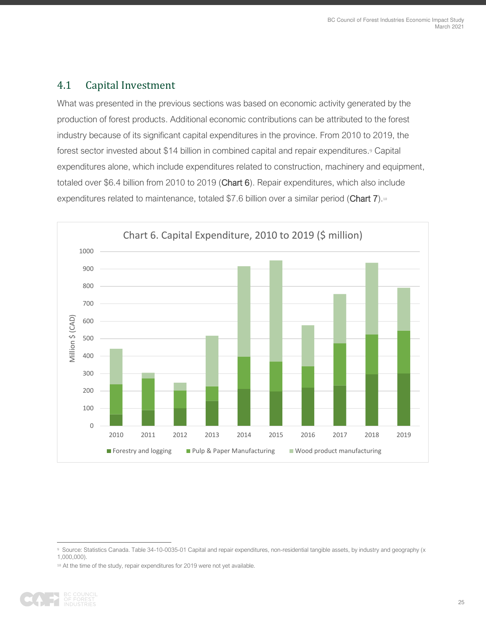#### <span id="page-25-0"></span>4.1 Capital Investment

What was presented in the previous sections was based on economic activity generated by the production of forest products. Additional economic contributions can be attributed to the forest industry because of its significant capital expenditures in the province. From 2010 to 2019, the forest sector invested about \$14 billion in combined capital and repair expenditures.<sup>9</sup> Capital expenditures alone, which include expenditures related to construction, machinery and equipment, totaled over \$6.4 billion from 2010 to 2019 (Chart 6). Repair expenditures, which also include expenditures related to maintenance, totaled \$7.6 billion over a similar period (Chart 7).<sup>10</sup>



<sup>10</sup> At the time of the study, repair expenditures for 2019 were not yet available.



<sup>9</sup> Source: Statistics Canada. Table 34-10-0035-01 Capital and repair expenditures, non-residential tangible assets, by industry and geography (x 1,000,000).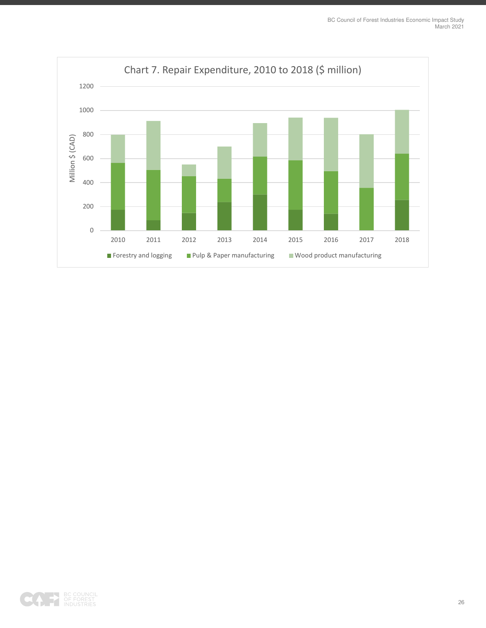

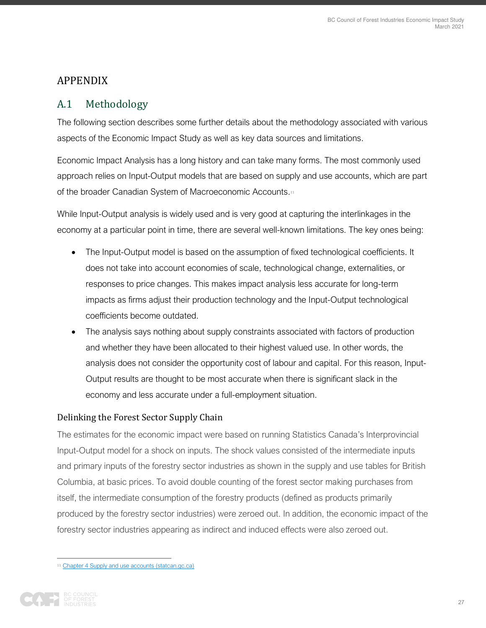#### <span id="page-27-0"></span>APPENDIX

### <span id="page-27-1"></span>A.1 Methodology

The following section describes some further details about the methodology associated with various aspects of the Economic Impact Study as well as key data sources and limitations.

Economic Impact Analysis has a long history and can take many forms. The most commonly used approach relies on Input-Output models that are based on supply and use accounts, which are part of the broader Canadian System of Macroeconomic Accounts.<sup>11</sup>

While Input-Output analysis is widely used and is very good at capturing the interlinkages in the economy at a particular point in time, there are several well-known limitations. The key ones being:

- The Input-Output model is based on the assumption of fixed technological coefficients. It does not take into account economies of scale, technological change, externalities, or responses to price changes. This makes impact analysis less accurate for long-term impacts as firms adjust their production technology and the Input-Output technological coefficients become outdated.
- The analysis says nothing about supply constraints associated with factors of production and whether they have been allocated to their highest valued use. In other words, the analysis does not consider the opportunity cost of labour and capital. For this reason, Input-Output results are thought to be most accurate when there is significant slack in the economy and less accurate under a full-employment situation.

#### Delinking the Forest Sector Supply Chain

The estimates for the economic impact were based on running Statistics Canada's Interprovincial Input-Output model for a shock on inputs. The shock values consisted of the intermediate inputs and primary inputs of the forestry sector industries as shown in the supply and use tables for British Columbia, at basic prices. To avoid double counting of the forest sector making purchases from itself, the intermediate consumption of the forestry products (defined as products primarily produced by the forestry sector industries) were zeroed out. In addition, the economic impact of the forestry sector industries appearing as indirect and induced effects were also zeroed out.

<sup>11</sup> [Chapter 4 Supply and use accounts \(statcan.gc.ca\)](https://www150.statcan.gc.ca/n1/pub/13-606-g/2016001/article/14619-eng.htm)

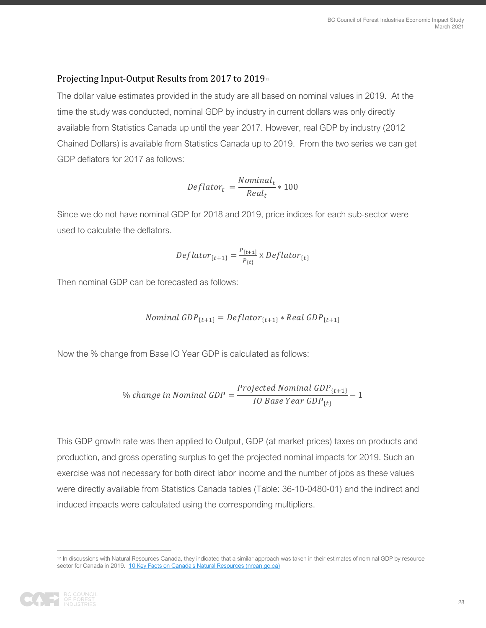#### Projecting Input-Output Results from 2017 to 2019<sup>12</sup>

The dollar value estimates provided in the study are all based on nominal values in 2019. At the time the study was conducted, nominal GDP by industry in current dollars was only directly available from Statistics Canada up until the year 2017. However, real GDP by industry (2012 Chained Dollars) is available from Statistics Canada up to 2019. From the two series we can get GDP deflators for 2017 as follows:

$$
Deflator_t = \frac{Nominal_t}{Real_t} * 100
$$

Since we do not have nominal GDP for 2018 and 2019, price indices for each sub-sector were used to calculate the deflators.

$$
Deflator_{\{t+1\}} = \frac{P_{\{t+1\}}}{P_{\{t\}}} \times Deflator_{\{t\}}
$$

Then nominal GDP can be forecasted as follows:

$$
Nominal\ GDP_{\{t+1\}}=Deflator_{\{t+1\}}*Real\ GDP_{\{t+1\}}
$$

Now the % change from Base IO Year GDP is calculated as follows:

$$
\% change in Nominal GDP = \frac{Projected Nominal GDP_{\{t+1\}}}{IO Base Year GDP_{\{t\}}} - 1
$$

This GDP growth rate was then applied to Output, GDP (at market prices) taxes on products and production, and gross operating surplus to get the projected nominal impacts for 2019. Such an exercise was not necessary for both direct labor income and the number of jobs as these values were directly available from Statistics Canada tables (Table: 36-10-0480-01) and the indirect and induced impacts were calculated using the corresponding multipliers.

<sup>12</sup> In discussions with Natural Resources Canada, they indicated that a similar approach was taken in their estimates of nominal GDP by resource sector for Canada in 2019. [10 Key Facts on Canada's Natural Resources \(nrcan.gc.ca\)](https://www.nrcan.gc.ca/sites/www.nrcan.gc.ca/files/emmc/pdf/10_key_facts_on%20Natural%20Resources%20Canads_2020_E.pdf)

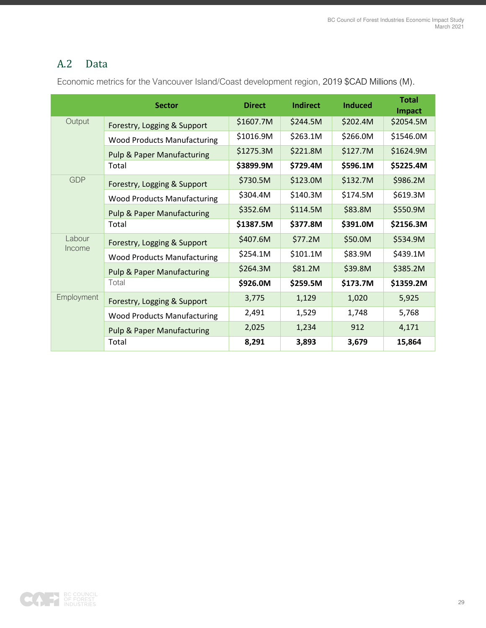## <span id="page-29-0"></span>A.2 Data

Economic metrics for the Vancouver Island/Coast development region, 2019 \$CAD Millions (M).

|                  | <b>Sector</b>                         | <b>Direct</b> | Indirect | <b>Induced</b> | <b>Total</b><br>Impact |
|------------------|---------------------------------------|---------------|----------|----------------|------------------------|
| Output           | Forestry, Logging & Support           | \$1607.7M     | \$244.5M | \$202.4M       | \$2054.5M              |
|                  | <b>Wood Products Manufacturing</b>    | \$1016.9M     | \$263.1M | \$266.0M       | \$1546.0M              |
|                  | <b>Pulp &amp; Paper Manufacturing</b> | \$1275.3M     | \$221.8M | \$127.7M       | \$1624.9M              |
|                  | Total                                 | \$3899.9M     | \$729.4M | \$596.1M       | \$5225.4M              |
| <b>GDP</b>       | Forestry, Logging & Support           | \$730.5M      | \$123.0M | \$132.7M       | \$986.2M               |
|                  | <b>Wood Products Manufacturing</b>    | \$304.4M      | \$140.3M | \$174.5M       | \$619.3M               |
|                  | <b>Pulp &amp; Paper Manufacturing</b> | \$352.6M      | \$114.5M | \$83.8M        | \$550.9M               |
|                  | Total                                 | \$1387.5M     | \$377.8M | \$391.0M       | \$2156.3M              |
| Labour<br>Income | Forestry, Logging & Support           | \$407.6M      | \$77.2M  | \$50.0M        | \$534.9M               |
|                  | <b>Wood Products Manufacturing</b>    | \$254.1M      | \$101.1M | \$83.9M        | \$439.1M               |
|                  | <b>Pulp &amp; Paper Manufacturing</b> | \$264.3M      | \$81.2M  | \$39.8M        | \$385.2M               |
|                  | Total                                 | \$926.0M      | \$259.5M | \$173.7M       | \$1359.2M              |
| Employment       | Forestry, Logging & Support           | 3,775         | 1,129    | 1,020          | 5,925                  |
|                  | <b>Wood Products Manufacturing</b>    | 2,491         | 1,529    | 1,748          | 5,768                  |
|                  | <b>Pulp &amp; Paper Manufacturing</b> | 2,025         | 1,234    | 912            | 4,171                  |
|                  | Total                                 | 8,291         | 3,893    | 3,679          | 15,864                 |

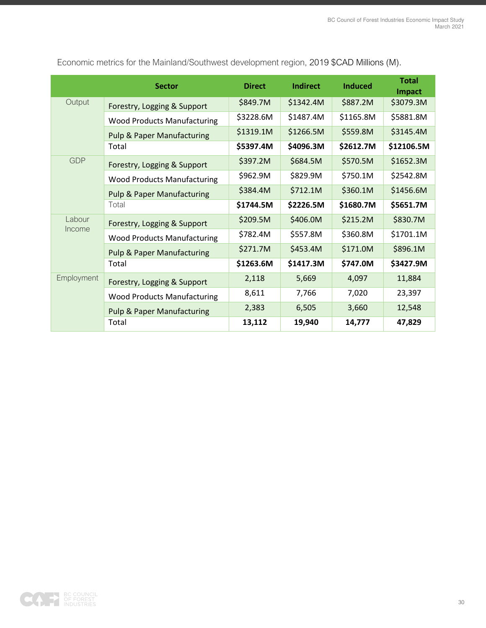|            | <b>Sector</b>                         | <b>Direct</b> | <b>Indirect</b> | <b>Induced</b> | <b>Total</b><br>Impact |
|------------|---------------------------------------|---------------|-----------------|----------------|------------------------|
| Output     | Forestry, Logging & Support           | \$849.7M      | \$1342.4M       | \$887.2M       | \$3079.3M              |
|            | <b>Wood Products Manufacturing</b>    | \$3228.6M     | \$1487.4M       | \$1165.8M      | \$5881.8M              |
|            | <b>Pulp &amp; Paper Manufacturing</b> | \$1319.1M     | \$1266.5M       | \$559.8M       | \$3145.4M              |
|            | Total                                 | \$5397.4M     | \$4096.3M       | \$2612.7M      | \$12106.5M             |
| <b>GDP</b> | Forestry, Logging & Support           | \$397.2M      | \$684.5M        | \$570.5M       | \$1652.3M              |
|            | <b>Wood Products Manufacturing</b>    | \$962.9M      | \$829.9M        | \$750.1M       | \$2542.8M              |
|            | <b>Pulp &amp; Paper Manufacturing</b> | \$384.4M      | \$712.1M        | \$360.1M       | \$1456.6M              |
|            | Total                                 | \$1744.5M     | \$2226.5M       | \$1680.7M      | \$5651.7M              |
| Labour     | Forestry, Logging & Support           | \$209.5M      | \$406.0M        | \$215.2M       | \$830.7M               |
| Income     | <b>Wood Products Manufacturing</b>    | \$782.4M      | \$557.8M        | \$360.8M       | \$1701.1M              |
|            | <b>Pulp &amp; Paper Manufacturing</b> | \$271.7M      | \$453.4M        | \$171.0M       | \$896.1M               |
|            | Total                                 | \$1263.6M     | \$1417.3M       | \$747.0M       | \$3427.9M              |
| Employment | Forestry, Logging & Support           | 2,118         | 5,669           | 4,097          | 11,884                 |
|            | <b>Wood Products Manufacturing</b>    | 8,611         | 7,766           | 7,020          | 23,397                 |
|            | <b>Pulp &amp; Paper Manufacturing</b> | 2,383         | 6,505           | 3,660          | 12,548                 |
|            | Total                                 | 13,112        | 19,940          | 14,777         | 47,829                 |

Economic metrics for the Mainland/Southwest development region, 2019 \$CAD Millions (M).

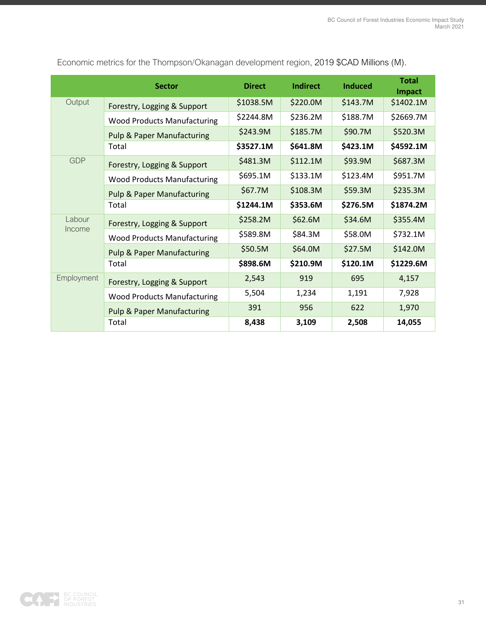|            | <b>Sector</b>                         | <b>Direct</b> | Indirect | <b>Induced</b> | <b>Total</b><br>Impact |
|------------|---------------------------------------|---------------|----------|----------------|------------------------|
| Output     | Forestry, Logging & Support           | \$1038.5M     | \$220.0M | \$143.7M       | \$1402.1M              |
|            | <b>Wood Products Manufacturing</b>    | \$2244.8M     | \$236.2M | \$188.7M       | \$2669.7M              |
|            | <b>Pulp &amp; Paper Manufacturing</b> | \$243.9M      | \$185.7M | \$90.7M        | \$520.3M               |
|            | Total                                 | \$3527.1M     | \$641.8M | \$423.1M       | \$4592.1M              |
| <b>GDP</b> | Forestry, Logging & Support           | \$481.3M      | \$112.1M | \$93.9M        | \$687.3M               |
|            | <b>Wood Products Manufacturing</b>    | \$695.1M      | \$133.1M | \$123.4M       | \$951.7M               |
|            | <b>Pulp &amp; Paper Manufacturing</b> | \$67.7M       | \$108.3M | \$59.3M        | \$235.3M               |
|            | Total                                 | \$1244.1M     | \$353.6M | \$276.5M       | \$1874.2M              |
| Labour     | Forestry, Logging & Support           | \$258.2M      | \$62.6M  | \$34.6M        | \$355.4M               |
| Income     | <b>Wood Products Manufacturing</b>    | \$589.8M      | \$84.3M  | \$58.0M        | \$732.1M               |
|            | <b>Pulp &amp; Paper Manufacturing</b> | \$50.5M       | \$64.0M  | \$27.5M        | \$142.0M               |
|            | Total                                 | \$898.6M      | \$210.9M | \$120.1M       | \$1229.6M              |
| Employment | Forestry, Logging & Support           | 2,543         | 919      | 695            | 4,157                  |
|            | <b>Wood Products Manufacturing</b>    | 5,504         | 1,234    | 1,191          | 7,928                  |
|            | <b>Pulp &amp; Paper Manufacturing</b> | 391           | 956      | 622            | 1,970                  |
|            | Total                                 | 8,438         | 3,109    | 2,508          | 14,055                 |

Economic metrics for the Thompson/Okanagan development region, 2019 \$CAD Millions (M).

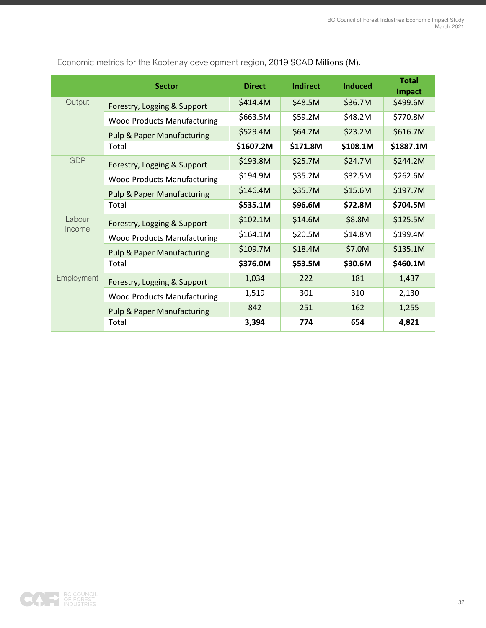|                  | <b>Sector</b>                         | <b>Direct</b> | <b>Indirect</b> | <b>Induced</b> | <b>Total</b><br>Impact |
|------------------|---------------------------------------|---------------|-----------------|----------------|------------------------|
| Output           | Forestry, Logging & Support           | \$414.4M      | \$48.5M         | \$36.7M        | \$499.6M               |
|                  | <b>Wood Products Manufacturing</b>    | \$663.5M      | \$59.2M         | \$48.2M        | \$770.8M               |
|                  | <b>Pulp &amp; Paper Manufacturing</b> | \$529.4M      | \$64.2M         | \$23.2M        | \$616.7M               |
|                  | Total                                 | \$1607.2M     | \$171.8M        | \$108.1M       | \$1887.1M              |
| <b>GDP</b>       | Forestry, Logging & Support           | \$193.8M      | \$25.7M         | \$24.7M        | \$244.2M               |
|                  | <b>Wood Products Manufacturing</b>    | \$194.9M      | \$35.2M         | \$32.5M        | \$262.6M               |
|                  | <b>Pulp &amp; Paper Manufacturing</b> | \$146.4M      | \$35.7M         | \$15.6M        | \$197.7M               |
|                  | Total                                 | \$535.1M      | \$96.6M         | \$72.8M        | \$704.5M               |
| Labour<br>Income | Forestry, Logging & Support           | \$102.1M      | \$14.6M         | \$8.8M         | \$125.5M               |
|                  | <b>Wood Products Manufacturing</b>    | \$164.1M      | \$20.5M         | \$14.8M        | \$199.4M               |
|                  | <b>Pulp &amp; Paper Manufacturing</b> | \$109.7M      | \$18.4M         | \$7.0M         | \$135.1M               |
|                  | Total                                 | \$376.0M      | \$53.5M         | \$30.6M        | \$460.1M               |
| Employment       | Forestry, Logging & Support           | 1,034         | 222             | 181            | 1,437                  |
|                  | <b>Wood Products Manufacturing</b>    | 1,519         | 301             | 310            | 2,130                  |
|                  | <b>Pulp &amp; Paper Manufacturing</b> | 842           | 251             | 162            | 1,255                  |
|                  | Total                                 | 3,394         | 774             | 654            | 4,821                  |

Economic metrics for the Kootenay development region, 2019 \$CAD Millions (M).

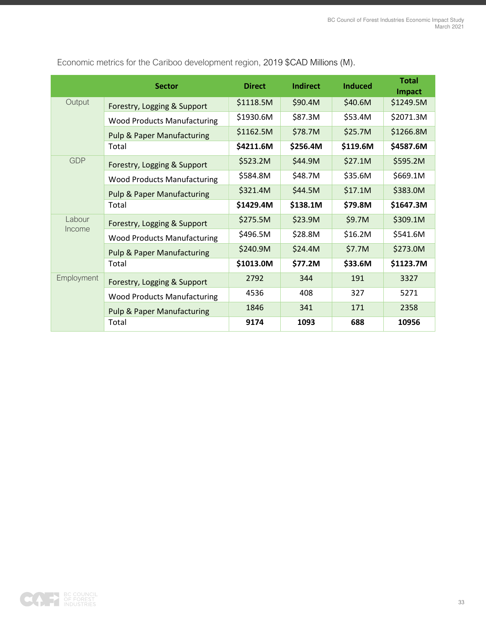|                  | <b>Sector</b>                         | <b>Direct</b> | <b>Indirect</b> | <b>Induced</b> | <b>Total</b><br>Impact |
|------------------|---------------------------------------|---------------|-----------------|----------------|------------------------|
| Output           | Forestry, Logging & Support           | \$1118.5M     | \$90.4M         | \$40.6M        | \$1249.5M              |
|                  | <b>Wood Products Manufacturing</b>    | \$1930.6M     | \$87.3M         | \$53.4M        | \$2071.3M              |
|                  | <b>Pulp &amp; Paper Manufacturing</b> | \$1162.5M     | \$78.7M         | \$25.7M        | \$1266.8M              |
|                  | Total                                 | \$4211.6M     | \$256.4M        | \$119.6M       | \$4587.6M              |
| <b>GDP</b>       | Forestry, Logging & Support           | \$523.2M      | \$44.9M         | \$27.1M        | \$595.2M               |
|                  | <b>Wood Products Manufacturing</b>    | \$584.8M      | \$48.7M         | \$35.6M        | \$669.1M               |
|                  | <b>Pulp &amp; Paper Manufacturing</b> | \$321.4M      | \$44.5M         | \$17.1M        | \$383.0M               |
|                  | Total                                 | \$1429.4M     | \$138.1M        | \$79.8M        | \$1647.3M              |
| Labour<br>Income | Forestry, Logging & Support           | \$275.5M      | \$23.9M         | \$9.7M         | \$309.1M               |
|                  | <b>Wood Products Manufacturing</b>    | \$496.5M      | \$28.8M         | \$16.2M        | \$541.6M               |
|                  | <b>Pulp &amp; Paper Manufacturing</b> | \$240.9M      | \$24.4M         | \$7.7M         | \$273.0M               |
|                  | Total                                 | \$1013.0M     | \$77.2M         | \$33.6M        | \$1123.7M              |
| Employment       | Forestry, Logging & Support           | 2792          | 344             | 191            | 3327                   |
|                  | <b>Wood Products Manufacturing</b>    | 4536          | 408             | 327            | 5271                   |
|                  | <b>Pulp &amp; Paper Manufacturing</b> | 1846          | 341             | 171            | 2358                   |
|                  | Total                                 | 9174          | 1093            | 688            | 10956                  |

Economic metrics for the Cariboo development region, 2019 \$CAD Millions (M).

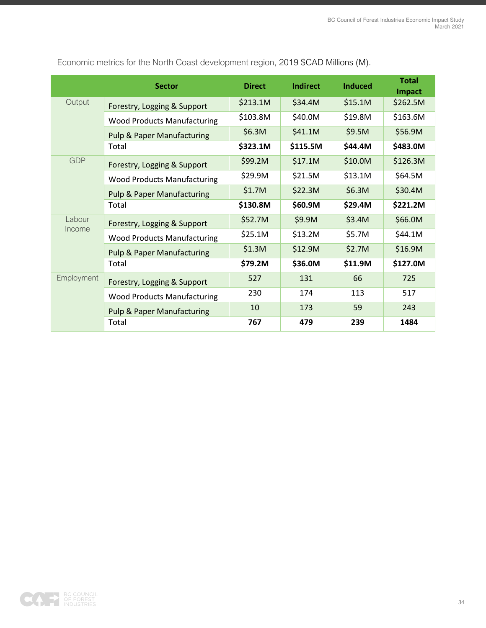|                  | <b>Sector</b>                         | <b>Direct</b> | <b>Indirect</b> | <b>Induced</b> | <b>Total</b><br>Impact |
|------------------|---------------------------------------|---------------|-----------------|----------------|------------------------|
| Output           | Forestry, Logging & Support           | \$213.1M      | \$34.4M         | \$15.1M        | \$262.5M               |
|                  | <b>Wood Products Manufacturing</b>    | \$103.8M      | \$40.0M         | \$19.8M        | \$163.6M               |
|                  | <b>Pulp &amp; Paper Manufacturing</b> | \$6.3M        | \$41.1M         | \$9.5M         | \$56.9M                |
|                  | Total                                 | \$323.1M      | \$115.5M        | \$44.4M        | \$483.0M               |
| <b>GDP</b>       | Forestry, Logging & Support           | \$99.2M       | \$17.1M         | \$10.0M        | \$126.3M               |
|                  | <b>Wood Products Manufacturing</b>    | \$29.9M       | \$21.5M         | \$13.1M        | \$64.5M                |
|                  | <b>Pulp &amp; Paper Manufacturing</b> | \$1.7M        | \$22.3M         | \$6.3M         | \$30.4M                |
|                  | Total                                 | \$130.8M      | \$60.9M         | \$29.4M        | \$221.2M               |
| Labour<br>Income | Forestry, Logging & Support           | \$52.7M       | \$9.9M          | \$3.4M         | \$66.0M                |
|                  | <b>Wood Products Manufacturing</b>    | \$25.1M       | \$13.2M         | \$5.7M         | \$44.1M                |
|                  | <b>Pulp &amp; Paper Manufacturing</b> | \$1.3M        | \$12.9M         | \$2.7M         | \$16.9M                |
|                  | Total                                 | \$79.2M       | \$36.0M         | \$11.9M        | \$127.0M               |
| Employment       | Forestry, Logging & Support           | 527           | 131             | 66             | 725                    |
|                  | <b>Wood Products Manufacturing</b>    | 230           | 174             | 113            | 517                    |
|                  | <b>Pulp &amp; Paper Manufacturing</b> | 10            | 173             | 59             | 243                    |
|                  | Total                                 | 767           | 479             | 239            | 1484                   |

Economic metrics for the North Coast development region, 2019 \$CAD Millions (M).

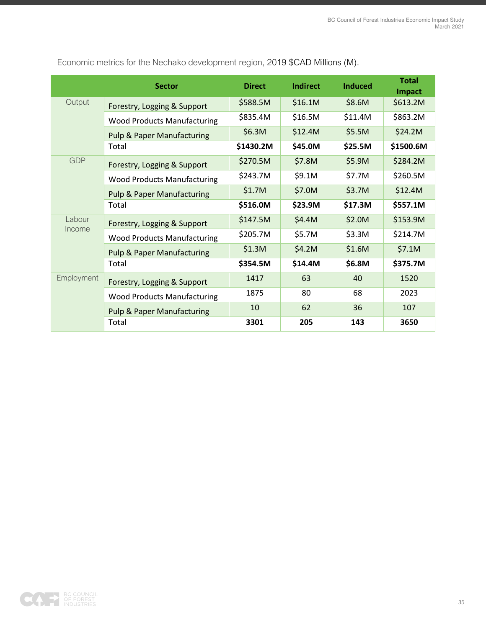|                  | <b>Sector</b>                         | <b>Direct</b> | <b>Indirect</b> | <b>Induced</b> | <b>Total</b><br>Impact |
|------------------|---------------------------------------|---------------|-----------------|----------------|------------------------|
| Output           | Forestry, Logging & Support           | \$588.5M      | \$16.1M         | \$8.6M         | \$613.2M               |
|                  | <b>Wood Products Manufacturing</b>    | \$835.4M      | \$16.5M         | \$11.4M        | \$863.2M               |
|                  | <b>Pulp &amp; Paper Manufacturing</b> | \$6.3M        | \$12.4M         | \$5.5M         | \$24.2M                |
|                  | Total                                 | \$1430.2M     | \$45.0M         | \$25.5M        | \$1500.6M              |
| <b>GDP</b>       | Forestry, Logging & Support           | \$270.5M      | \$7.8M          | \$5.9M         | \$284.2M               |
|                  | <b>Wood Products Manufacturing</b>    | \$243.7M      | \$9.1M          | \$7.7M         | \$260.5M               |
|                  | <b>Pulp &amp; Paper Manufacturing</b> | \$1.7M        | \$7.0M          | \$3.7M         | \$12.4M                |
|                  | Total                                 | \$516.0M      | \$23.9M         | \$17.3M        | \$557.1M               |
| Labour<br>Income | Forestry, Logging & Support           | \$147.5M      | \$4.4M          | \$2.0M         | \$153.9M               |
|                  | <b>Wood Products Manufacturing</b>    | \$205.7M      | \$5.7M          | \$3.3M         | \$214.7M               |
|                  | <b>Pulp &amp; Paper Manufacturing</b> | \$1.3M        | \$4.2M          | \$1.6M         | \$7.1M                 |
|                  | Total                                 | \$354.5M      | \$14.4M         | \$6.8M         | \$375.7M               |
| Employment       | Forestry, Logging & Support           | 1417          | 63              | 40             | 1520                   |
|                  | <b>Wood Products Manufacturing</b>    | 1875          | 80              | 68             | 2023                   |
|                  | <b>Pulp &amp; Paper Manufacturing</b> | 10            | 62              | 36             | 107                    |
|                  | Total                                 | 3301          | 205             | 143            | 3650                   |

Economic metrics for the Nechako development region, 2019 \$CAD Millions (M).

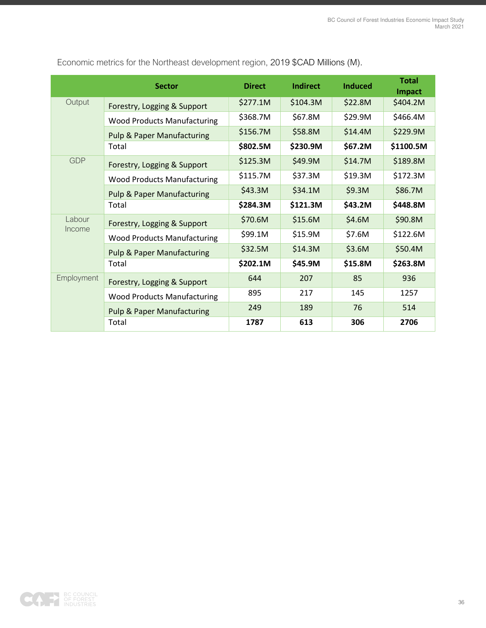|                   | <b>Sector</b>                         | <b>Direct</b> | <b>Indirect</b> | <b>Induced</b> | <b>Total</b><br>Impact |
|-------------------|---------------------------------------|---------------|-----------------|----------------|------------------------|
| Output            | Forestry, Logging & Support           | \$277.1M      | \$104.3M        | \$22.8M        | \$404.2M               |
|                   | <b>Wood Products Manufacturing</b>    | \$368.7M      | \$67.8M         | \$29.9M        | \$466.4M               |
|                   | <b>Pulp &amp; Paper Manufacturing</b> | \$156.7M      | \$58.8M         | \$14.4M        | \$229.9M               |
|                   | Total                                 | \$802.5M      | \$230.9M        | \$67.2M        | \$1100.5M              |
| <b>GDP</b>        | Forestry, Logging & Support           | \$125.3M      | \$49.9M         | \$14.7M        | \$189.8M               |
|                   | <b>Wood Products Manufacturing</b>    | \$115.7M      | \$37.3M         | \$19.3M        | \$172.3M               |
|                   | <b>Pulp &amp; Paper Manufacturing</b> | \$43.3M       | \$34.1M         | \$9.3M         | \$86.7M                |
|                   | Total                                 | \$284.3M      | \$121.3M        | \$43.2M        | \$448.8M               |
| Labour<br>Income  | Forestry, Logging & Support           | \$70.6M       | \$15.6M         | \$4.6M         | \$90.8M                |
|                   | <b>Wood Products Manufacturing</b>    | \$99.1M       | \$15.9M         | \$7.6M         | \$122.6M               |
|                   | <b>Pulp &amp; Paper Manufacturing</b> | \$32.5M       | \$14.3M         | \$3.6M         | \$50.4M                |
|                   | Total                                 | \$202.1M      | \$45.9M         | \$15.8M        | \$263.8M               |
| <b>Employment</b> | Forestry, Logging & Support           | 644           | 207             | 85             | 936                    |
|                   | <b>Wood Products Manufacturing</b>    | 895           | 217             | 145            | 1257                   |
|                   | <b>Pulp &amp; Paper Manufacturing</b> | 249           | 189             | 76             | 514                    |
|                   | Total                                 | 1787          | 613             | 306            | 2706                   |

Economic metrics for the Northeast development region, 2019 \$CAD Millions (M).